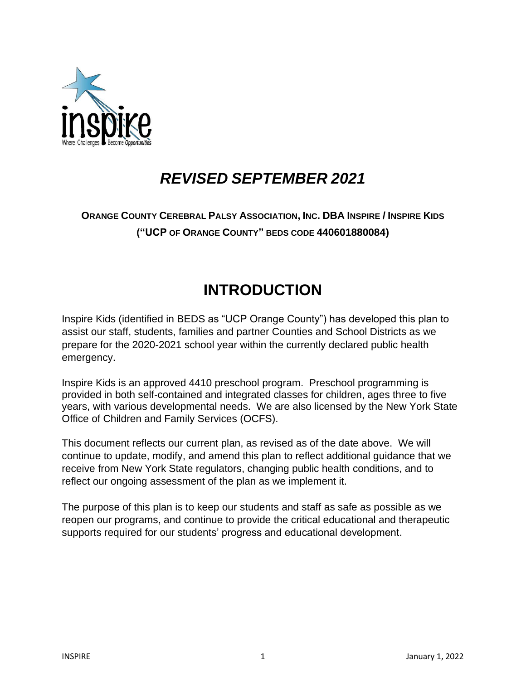

# *REVISED SEPTEMBER 2021*

## **ORANGE COUNTY CEREBRAL PALSY ASSOCIATION, INC. DBA INSPIRE / INSPIRE KIDS ("UCP OF ORANGE COUNTY" BEDS CODE 440601880084)**

# **INTRODUCTION**

Inspire Kids (identified in BEDS as "UCP Orange County") has developed this plan to assist our staff, students, families and partner Counties and School Districts as we prepare for the 2020-2021 school year within the currently declared public health emergency.

Inspire Kids is an approved 4410 preschool program. Preschool programming is provided in both self-contained and integrated classes for children, ages three to five years, with various developmental needs. We are also licensed by the New York State Office of Children and Family Services (OCFS).

This document reflects our current plan, as revised as of the date above. We will continue to update, modify, and amend this plan to reflect additional guidance that we receive from New York State regulators, changing public health conditions, and to reflect our ongoing assessment of the plan as we implement it.

The purpose of this plan is to keep our students and staff as safe as possible as we reopen our programs, and continue to provide the critical educational and therapeutic supports required for our students' progress and educational development.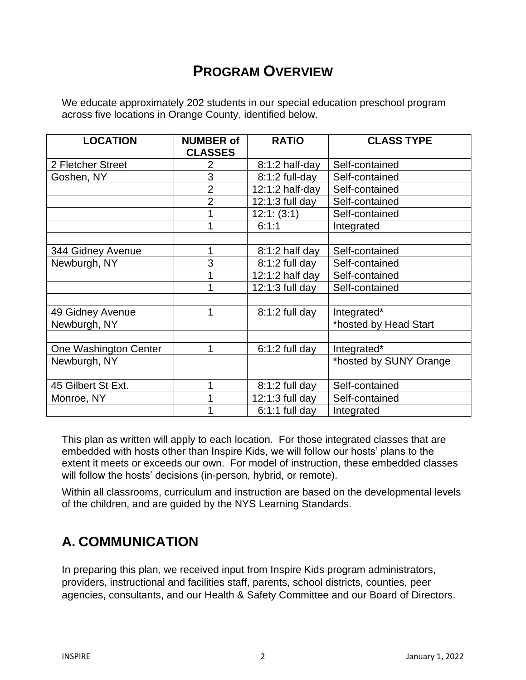## **PROGRAM OVERVIEW**

We educate approximately 202 students in our special education preschool program across five locations in Orange County, identified below.

| <b>LOCATION</b>       | <b>NUMBER of</b> | <b>RATIO</b>      | <b>CLASS TYPE</b>      |
|-----------------------|------------------|-------------------|------------------------|
|                       | <b>CLASSES</b>   |                   |                        |
| 2 Fletcher Street     | 2                | 8:1:2 half-day    | Self-contained         |
| Goshen, NY            | 3                | $8:1:2$ full-day  | Self-contained         |
|                       | $\overline{2}$   | $12:1:2$ half-day | Self-contained         |
|                       | $\overline{2}$   | $12:1:3$ full day | Self-contained         |
|                       |                  | 12:1: (3:1)       | Self-contained         |
|                       | 4                | 6:1:1             | Integrated             |
|                       |                  |                   |                        |
| 344 Gidney Avenue     | 1                | $8:1:2$ half day  | Self-contained         |
| Newburgh, NY          | 3                | $8:1:2$ full day  | Self-contained         |
|                       |                  | $12:1:2$ half day | Self-contained         |
|                       |                  | 12:1:3 full day   | Self-contained         |
|                       |                  |                   |                        |
| 49 Gidney Avenue      | 1                | $8:1:2$ full day  | Integrated*            |
| Newburgh, NY          |                  |                   | *hosted by Head Start  |
|                       |                  |                   |                        |
| One Washington Center | 1                | $6:1:2$ full day  | Integrated*            |
| Newburgh, NY          |                  |                   | *hosted by SUNY Orange |
|                       |                  |                   |                        |
| 45 Gilbert St Ext.    | 1                | $8:1:2$ full day  | Self-contained         |
| Monroe, NY            |                  | 12:1:3 full day   | Self-contained         |
|                       |                  | $6:1:1$ full day  | Integrated             |

This plan as written will apply to each location. For those integrated classes that are embedded with hosts other than Inspire Kids, we will follow our hosts' plans to the extent it meets or exceeds our own. For model of instruction, these embedded classes will follow the hosts' decisions (in-person, hybrid, or remote).

Within all classrooms, curriculum and instruction are based on the developmental levels of the children, and are guided by the NYS Learning Standards.

## **A. COMMUNICATION**

In preparing this plan, we received input from Inspire Kids program administrators, providers, instructional and facilities staff, parents, school districts, counties, peer agencies, consultants, and our Health & Safety Committee and our Board of Directors.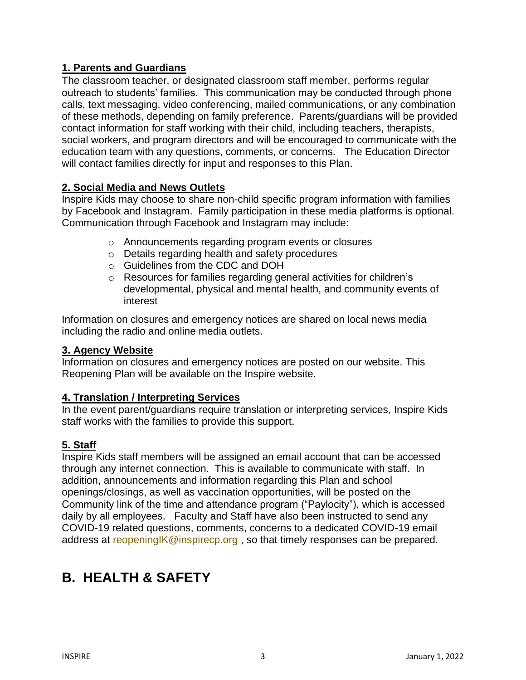### **1. Parents and Guardians**

The classroom teacher, or designated classroom staff member, performs regular outreach to students' families. This communication may be conducted through phone calls, text messaging, video conferencing, mailed communications, or any combination of these methods, depending on family preference. Parents/guardians will be provided contact information for staff working with their child, including teachers, therapists, social workers, and program directors and will be encouraged to communicate with the education team with any questions, comments, or concerns. The Education Director will contact families directly for input and responses to this Plan.

### **2. Social Media and News Outlets**

Inspire Kids may choose to share non-child specific program information with families by Facebook and Instagram. Family participation in these media platforms is optional. Communication through Facebook and Instagram may include:

- o Announcements regarding program events or closures
- o Details regarding health and safety procedures
- o Guidelines from the CDC and DOH
- o Resources for families regarding general activities for children's developmental, physical and mental health, and community events of interest

Information on closures and emergency notices are shared on local news media including the radio and online media outlets.

#### **3. Agency Website**

Information on closures and emergency notices are posted on our website. This Reopening Plan will be available on the Inspire website.

#### **4. Translation / Interpreting Services**

In the event parent/guardians require translation or interpreting services, Inspire Kids staff works with the families to provide this support.

### **5. Staff**

Inspire Kids staff members will be assigned an email account that can be accessed through any internet connection. This is available to communicate with staff. In addition, announcements and information regarding this Plan and school openings/closings, as well as vaccination opportunities, will be posted on the Community link of the time and attendance program ("Paylocity"), which is accessed daily by all employees. Faculty and Staff have also been instructed to send any COVID-19 related questions, comments, concerns to a dedicated COVID-19 email address at reopening K@inspirecp.org, so that timely responses can be prepared.

## **B. HEALTH & SAFETY**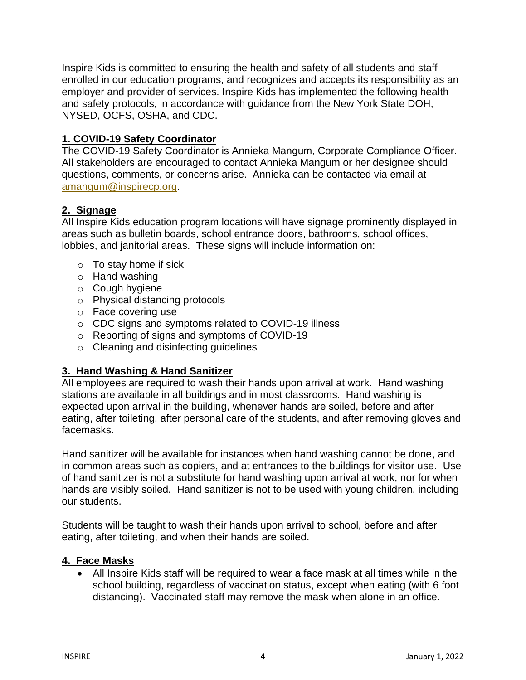Inspire Kids is committed to ensuring the health and safety of all students and staff enrolled in our education programs, and recognizes and accepts its responsibility as an employer and provider of services. Inspire Kids has implemented the following health and safety protocols, in accordance with guidance from the New York State DOH, NYSED, OCFS, OSHA, and CDC.

#### **1. COVID-19 Safety Coordinator**

The COVID-19 Safety Coordinator is Annieka Mangum, Corporate Compliance Officer. All stakeholders are encouraged to contact Annieka Mangum or her designee should questions, comments, or concerns arise. Annieka can be contacted via email at [amangum@inspirecp.org.](mailto:amangum@inspirecp.org)

#### **2. Signage**

All Inspire Kids education program locations will have signage prominently displayed in areas such as bulletin boards, school entrance doors, bathrooms, school offices, lobbies, and janitorial areas. These signs will include information on:

- $\circ$  To stay home if sick
- o Hand washing
- o Cough hygiene
- o Physical distancing protocols
- o Face covering use
- o CDC signs and symptoms related to COVID-19 illness
- o Reporting of signs and symptoms of COVID-19
- o Cleaning and disinfecting guidelines

### **3. Hand Washing & Hand Sanitizer**

All employees are required to wash their hands upon arrival at work. Hand washing stations are available in all buildings and in most classrooms. Hand washing is expected upon arrival in the building, whenever hands are soiled, before and after eating, after toileting, after personal care of the students, and after removing gloves and facemasks.

Hand sanitizer will be available for instances when hand washing cannot be done, and in common areas such as copiers, and at entrances to the buildings for visitor use. Use of hand sanitizer is not a substitute for hand washing upon arrival at work, nor for when hands are visibly soiled. Hand sanitizer is not to be used with young children, including our students.

Students will be taught to wash their hands upon arrival to school, before and after eating, after toileting, and when their hands are soiled.

#### **4. Face Masks**

• All Inspire Kids staff will be required to wear a face mask at all times while in the school building, regardless of vaccination status, except when eating (with 6 foot distancing). Vaccinated staff may remove the mask when alone in an office.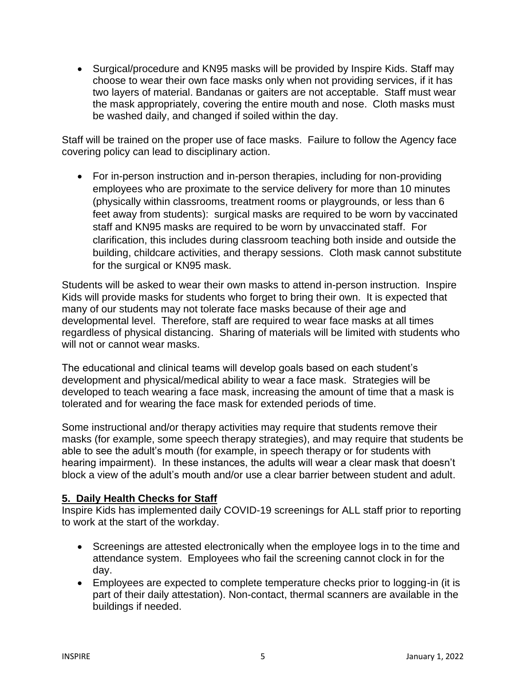• Surgical/procedure and KN95 masks will be provided by Inspire Kids. Staff may choose to wear their own face masks only when not providing services, if it has two layers of material. Bandanas or gaiters are not acceptable. Staff must wear the mask appropriately, covering the entire mouth and nose. Cloth masks must be washed daily, and changed if soiled within the day.

Staff will be trained on the proper use of face masks. Failure to follow the Agency face covering policy can lead to disciplinary action.

• For in-person instruction and in-person therapies, including for non-providing employees who are proximate to the service delivery for more than 10 minutes (physically within classrooms, treatment rooms or playgrounds, or less than 6 feet away from students): surgical masks are required to be worn by vaccinated staff and KN95 masks are required to be worn by unvaccinated staff. For clarification, this includes during classroom teaching both inside and outside the building, childcare activities, and therapy sessions. Cloth mask cannot substitute for the surgical or KN95 mask.

Students will be asked to wear their own masks to attend in-person instruction. Inspire Kids will provide masks for students who forget to bring their own. It is expected that many of our students may not tolerate face masks because of their age and developmental level. Therefore, staff are required to wear face masks at all times regardless of physical distancing. Sharing of materials will be limited with students who will not or cannot wear masks.

The educational and clinical teams will develop goals based on each student's development and physical/medical ability to wear a face mask. Strategies will be developed to teach wearing a face mask, increasing the amount of time that a mask is tolerated and for wearing the face mask for extended periods of time.

Some instructional and/or therapy activities may require that students remove their masks (for example, some speech therapy strategies), and may require that students be able to see the adult's mouth (for example, in speech therapy or for students with hearing impairment). In these instances, the adults will wear a clear mask that doesn't block a view of the adult's mouth and/or use a clear barrier between student and adult.

### **5. Daily Health Checks for Staff**

Inspire Kids has implemented daily COVID-19 screenings for ALL staff prior to reporting to work at the start of the workday.

- Screenings are attested electronically when the employee logs in to the time and attendance system. Employees who fail the screening cannot clock in for the day.
- Employees are expected to complete temperature checks prior to logging-in (it is part of their daily attestation). Non-contact, thermal scanners are available in the buildings if needed.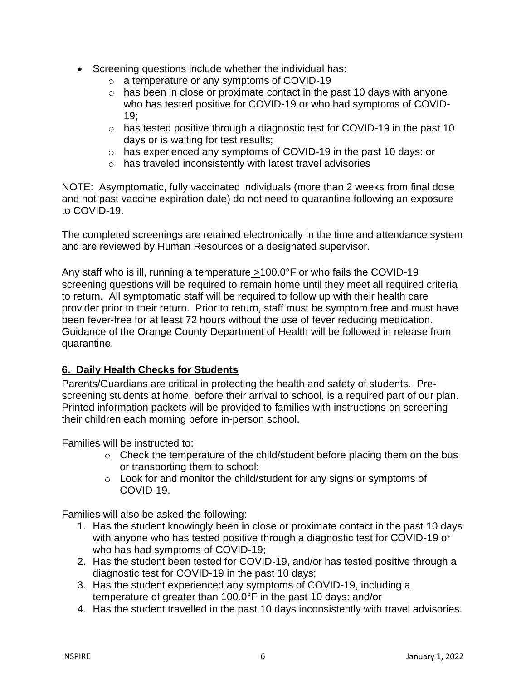- Screening questions include whether the individual has:
	- o a temperature or any symptoms of COVID-19
	- $\circ$  has been in close or proximate contact in the past 10 days with anyone who has tested positive for COVID-19 or who had symptoms of COVID- $19<sup>·</sup>$
	- o has tested positive through a diagnostic test for COVID-19 in the past 10 days or is waiting for test results;
	- o has experienced any symptoms of COVID-19 in the past 10 days: or
	- o has traveled inconsistently with latest travel advisories

NOTE: Asymptomatic, fully vaccinated individuals (more than 2 weeks from final dose and not past vaccine expiration date) do not need to quarantine following an exposure to COVID-19.

The completed screenings are retained electronically in the time and attendance system and are reviewed by Human Resources or a designated supervisor.

Any staff who is ill, running a temperature  $>100.0^{\circ}$  F or who fails the COVID-19 screening questions will be required to remain home until they meet all required criteria to return. All symptomatic staff will be required to follow up with their health care provider prior to their return. Prior to return, staff must be symptom free and must have been fever-free for at least 72 hours without the use of fever reducing medication. Guidance of the Orange County Department of Health will be followed in release from quarantine.

### **6. Daily Health Checks for Students**

Parents/Guardians are critical in protecting the health and safety of students. Prescreening students at home, before their arrival to school, is a required part of our plan. Printed information packets will be provided to families with instructions on screening their children each morning before in-person school.

Families will be instructed to:

- $\circ$  Check the temperature of the child/student before placing them on the bus or transporting them to school;
- o Look for and monitor the child/student for any signs or symptoms of COVID-19.

Families will also be asked the following:

- 1. Has the student knowingly been in close or proximate contact in the past 10 days with anyone who has tested positive through a diagnostic test for COVID-19 or who has had symptoms of COVID-19;
- 2. Has the student been tested for COVID-19, and/or has tested positive through a diagnostic test for COVID-19 in the past 10 days;
- 3. Has the student experienced any symptoms of COVID-19, including a temperature of greater than 100.0°F in the past 10 days: and/or
- 4. Has the student travelled in the past 10 days inconsistently with travel advisories.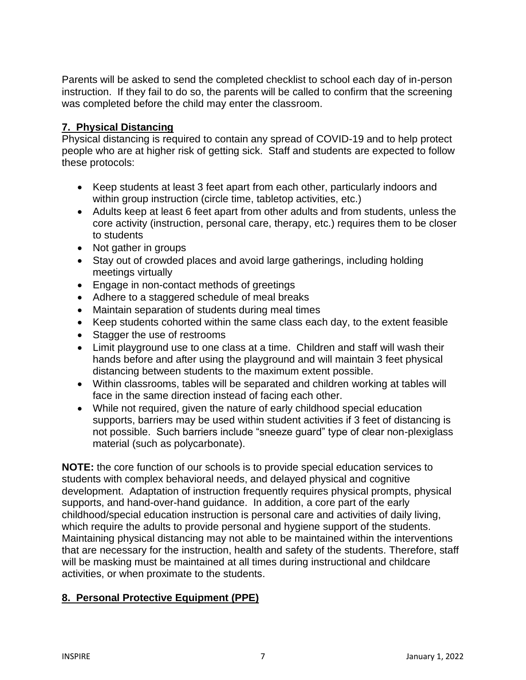Parents will be asked to send the completed checklist to school each day of in-person instruction. If they fail to do so, the parents will be called to confirm that the screening was completed before the child may enter the classroom.

### **7. Physical Distancing**

Physical distancing is required to contain any spread of COVID-19 and to help protect people who are at higher risk of getting sick. Staff and students are expected to follow these protocols:

- Keep students at least 3 feet apart from each other, particularly indoors and within group instruction (circle time, tabletop activities, etc.)
- Adults keep at least 6 feet apart from other adults and from students, unless the core activity (instruction, personal care, therapy, etc.) requires them to be closer to students
- Not gather in groups
- Stay out of crowded places and avoid large gatherings, including holding meetings virtually
- Engage in non-contact methods of greetings
- Adhere to a staggered schedule of meal breaks
- Maintain separation of students during meal times
- Keep students cohorted within the same class each day, to the extent feasible
- Stagger the use of restrooms
- Limit playground use to one class at a time. Children and staff will wash their hands before and after using the playground and will maintain 3 feet physical distancing between students to the maximum extent possible.
- Within classrooms, tables will be separated and children working at tables will face in the same direction instead of facing each other.
- While not required, given the nature of early childhood special education supports, barriers may be used within student activities if 3 feet of distancing is not possible. Such barriers include "sneeze guard" type of clear non-plexiglass material (such as polycarbonate).

**NOTE:** the core function of our schools is to provide special education services to students with complex behavioral needs, and delayed physical and cognitive development. Adaptation of instruction frequently requires physical prompts, physical supports, and hand-over-hand guidance. In addition, a core part of the early childhood/special education instruction is personal care and activities of daily living, which require the adults to provide personal and hygiene support of the students. Maintaining physical distancing may not able to be maintained within the interventions that are necessary for the instruction, health and safety of the students. Therefore, staff will be masking must be maintained at all times during instructional and childcare activities, or when proximate to the students.

## **8. Personal Protective Equipment (PPE)**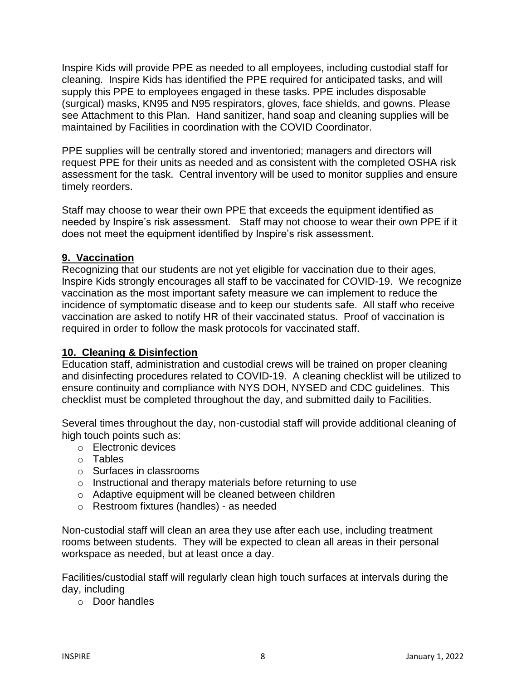Inspire Kids will provide PPE as needed to all employees, including custodial staff for cleaning. Inspire Kids has identified the PPE required for anticipated tasks, and will supply this PPE to employees engaged in these tasks. PPE includes disposable (surgical) masks, KN95 and N95 respirators, gloves, face shields, and gowns. Please see Attachment to this Plan. Hand sanitizer, hand soap and cleaning supplies will be maintained by Facilities in coordination with the COVID Coordinator.

PPE supplies will be centrally stored and inventoried; managers and directors will request PPE for their units as needed and as consistent with the completed OSHA risk assessment for the task. Central inventory will be used to monitor supplies and ensure timely reorders.

Staff may choose to wear their own PPE that exceeds the equipment identified as needed by Inspire's risk assessment. Staff may not choose to wear their own PPE if it does not meet the equipment identified by Inspire's risk assessment.

#### **9. Vaccination**

Recognizing that our students are not yet eligible for vaccination due to their ages, Inspire Kids strongly encourages all staff to be vaccinated for COVID-19. We recognize vaccination as the most important safety measure we can implement to reduce the incidence of symptomatic disease and to keep our students safe. All staff who receive vaccination are asked to notify HR of their vaccinated status. Proof of vaccination is required in order to follow the mask protocols for vaccinated staff.

### **10. Cleaning & Disinfection**

Education staff, administration and custodial crews will be trained on proper cleaning and disinfecting procedures related to COVID-19. A cleaning checklist will be utilized to ensure continuity and compliance with NYS DOH, NYSED and CDC guidelines. This checklist must be completed throughout the day, and submitted daily to Facilities.

Several times throughout the day, non-custodial staff will provide additional cleaning of high touch points such as:

- o Electronic devices
- o Tables
- o Surfaces in classrooms
- o Instructional and therapy materials before returning to use
- o Adaptive equipment will be cleaned between children
- o Restroom fixtures (handles) as needed

Non-custodial staff will clean an area they use after each use, including treatment rooms between students. They will be expected to clean all areas in their personal workspace as needed, but at least once a day.

Facilities/custodial staff will regularly clean high touch surfaces at intervals during the day, including

o Door handles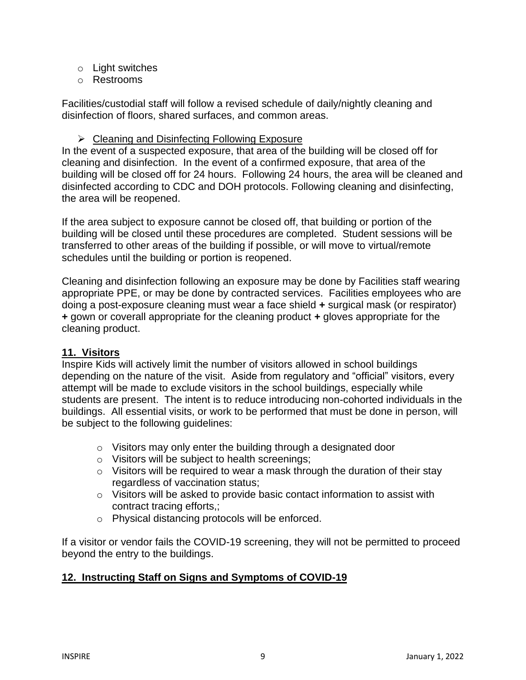- o Light switches
- o Restrooms

Facilities/custodial staff will follow a revised schedule of daily/nightly cleaning and disinfection of floors, shared surfaces, and common areas.

#### ➢ Cleaning and Disinfecting Following Exposure

In the event of a suspected exposure, that area of the building will be closed off for cleaning and disinfection. In the event of a confirmed exposure, that area of the building will be closed off for 24 hours. Following 24 hours, the area will be cleaned and disinfected according to CDC and DOH protocols. Following cleaning and disinfecting, the area will be reopened.

If the area subject to exposure cannot be closed off, that building or portion of the building will be closed until these procedures are completed. Student sessions will be transferred to other areas of the building if possible, or will move to virtual/remote schedules until the building or portion is reopened.

Cleaning and disinfection following an exposure may be done by Facilities staff wearing appropriate PPE, or may be done by contracted services. Facilities employees who are doing a post-exposure cleaning must wear a face shield **+** surgical mask (or respirator) **+** gown or coverall appropriate for the cleaning product **+** gloves appropriate for the cleaning product.

### **11. Visitors**

Inspire Kids will actively limit the number of visitors allowed in school buildings depending on the nature of the visit. Aside from regulatory and "official" visitors, every attempt will be made to exclude visitors in the school buildings, especially while students are present. The intent is to reduce introducing non-cohorted individuals in the buildings. All essential visits, or work to be performed that must be done in person, will be subject to the following guidelines:

- o Visitors may only enter the building through a designated door
- o Visitors will be subject to health screenings;
- o Visitors will be required to wear a mask through the duration of their stay regardless of vaccination status;
- o Visitors will be asked to provide basic contact information to assist with contract tracing efforts,;
- o Physical distancing protocols will be enforced.

If a visitor or vendor fails the COVID-19 screening, they will not be permitted to proceed beyond the entry to the buildings.

### **12. Instructing Staff on Signs and Symptoms of COVID-19**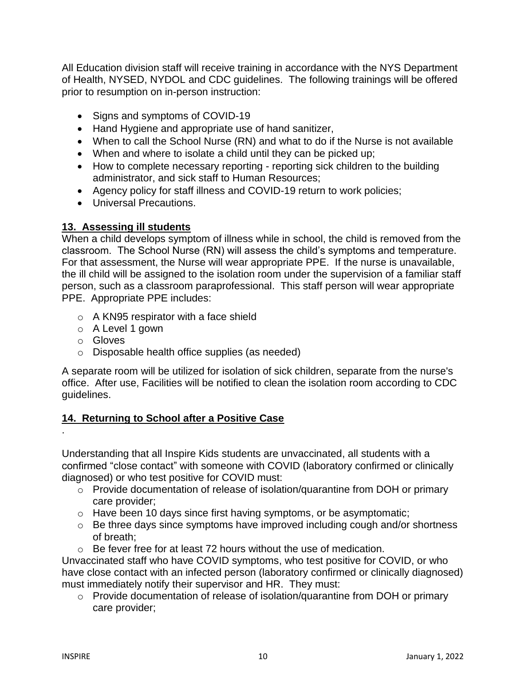All Education division staff will receive training in accordance with the NYS Department of Health, NYSED, NYDOL and CDC guidelines. The following trainings will be offered prior to resumption on in-person instruction:

- Signs and symptoms of COVID-19
- Hand Hygiene and appropriate use of hand sanitizer,
- When to call the School Nurse (RN) and what to do if the Nurse is not available
- When and where to isolate a child until they can be picked up;
- How to complete necessary reporting reporting sick children to the building administrator, and sick staff to Human Resources;
- Agency policy for staff illness and COVID-19 return to work policies;
- Universal Precautions.

#### **13. Assessing ill students**

When a child develops symptom of illness while in school, the child is removed from the classroom. The School Nurse (RN) will assess the child's symptoms and temperature. For that assessment, the Nurse will wear appropriate PPE. If the nurse is unavailable, the ill child will be assigned to the isolation room under the supervision of a familiar staff person, such as a classroom paraprofessional. This staff person will wear appropriate PPE. Appropriate PPE includes:

- o A KN95 respirator with a face shield
- o A Level 1 gown
- o Gloves

.

o Disposable health office supplies (as needed)

A separate room will be utilized for isolation of sick children, separate from the nurse's office. After use, Facilities will be notified to clean the isolation room according to CDC guidelines.

### **14. Returning to School after a Positive Case**

Understanding that all Inspire Kids students are unvaccinated, all students with a confirmed "close contact" with someone with COVID (laboratory confirmed or clinically diagnosed) or who test positive for COVID must:

- o Provide documentation of release of isolation/quarantine from DOH or primary care provider;
- o Have been 10 days since first having symptoms, or be asymptomatic;
- o Be three days since symptoms have improved including cough and/or shortness of breath;
- o Be fever free for at least 72 hours without the use of medication.

Unvaccinated staff who have COVID symptoms, who test positive for COVID, or who have close contact with an infected person (laboratory confirmed or clinically diagnosed) must immediately notify their supervisor and HR. They must:

o Provide documentation of release of isolation/quarantine from DOH or primary care provider;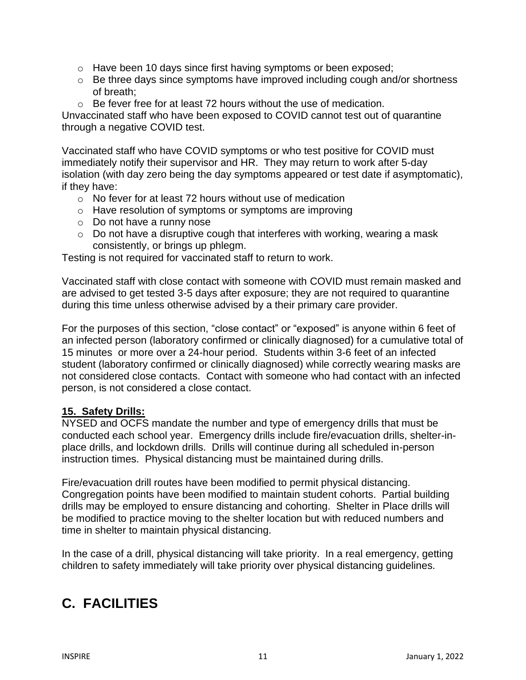- o Have been 10 days since first having symptoms or been exposed;
- o Be three days since symptoms have improved including cough and/or shortness of breath;
- o Be fever free for at least 72 hours without the use of medication.

Unvaccinated staff who have been exposed to COVID cannot test out of quarantine through a negative COVID test.

Vaccinated staff who have COVID symptoms or who test positive for COVID must immediately notify their supervisor and HR. They may return to work after 5-day isolation (with day zero being the day symptoms appeared or test date if asymptomatic), if they have:

- o No fever for at least 72 hours without use of medication
- o Have resolution of symptoms or symptoms are improving
- o Do not have a runny nose
- o Do not have a disruptive cough that interferes with working, wearing a mask consistently, or brings up phlegm.

Testing is not required for vaccinated staff to return to work.

Vaccinated staff with close contact with someone with COVID must remain masked and are advised to get tested 3-5 days after exposure; they are not required to quarantine during this time unless otherwise advised by a their primary care provider.

For the purposes of this section, "close contact" or "exposed" is anyone within 6 feet of an infected person (laboratory confirmed or clinically diagnosed) for a cumulative total of 15 minutes or more over a 24-hour period. Students within 3-6 feet of an infected student (laboratory confirmed or clinically diagnosed) while correctly wearing masks are not considered close contacts. Contact with someone who had contact with an infected person, is not considered a close contact.

### **15. Safety Drills:**

NYSED and OCFS mandate the number and type of emergency drills that must be conducted each school year. Emergency drills include fire/evacuation drills, shelter-inplace drills, and lockdown drills. Drills will continue during all scheduled in-person instruction times. Physical distancing must be maintained during drills.

Fire/evacuation drill routes have been modified to permit physical distancing. Congregation points have been modified to maintain student cohorts. Partial building drills may be employed to ensure distancing and cohorting. Shelter in Place drills will be modified to practice moving to the shelter location but with reduced numbers and time in shelter to maintain physical distancing.

In the case of a drill, physical distancing will take priority. In a real emergency, getting children to safety immediately will take priority over physical distancing guidelines.

## **C. FACILITIES**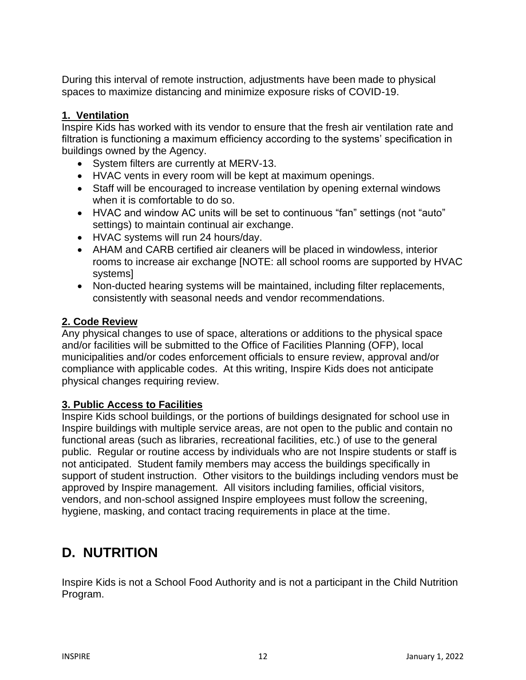During this interval of remote instruction, adjustments have been made to physical spaces to maximize distancing and minimize exposure risks of COVID-19.

### **1. Ventilation**

Inspire Kids has worked with its vendor to ensure that the fresh air ventilation rate and filtration is functioning a maximum efficiency according to the systems' specification in buildings owned by the Agency.

- System filters are currently at MERV-13.
- HVAC vents in every room will be kept at maximum openings.
- Staff will be encouraged to increase ventilation by opening external windows when it is comfortable to do so.
- HVAC and window AC units will be set to continuous "fan" settings (not "auto" settings) to maintain continual air exchange.
- HVAC systems will run 24 hours/day.
- AHAM and CARB certified air cleaners will be placed in windowless, interior rooms to increase air exchange [NOTE: all school rooms are supported by HVAC systems]
- Non-ducted hearing systems will be maintained, including filter replacements, consistently with seasonal needs and vendor recommendations.

### **2. Code Review**

Any physical changes to use of space, alterations or additions to the physical space and/or facilities will be submitted to the Office of Facilities Planning (OFP), local municipalities and/or codes enforcement officials to ensure review, approval and/or compliance with applicable codes. At this writing, Inspire Kids does not anticipate physical changes requiring review.

#### **3. Public Access to Facilities**

Inspire Kids school buildings, or the portions of buildings designated for school use in Inspire buildings with multiple service areas, are not open to the public and contain no functional areas (such as libraries, recreational facilities, etc.) of use to the general public. Regular or routine access by individuals who are not Inspire students or staff is not anticipated. Student family members may access the buildings specifically in support of student instruction. Other visitors to the buildings including vendors must be approved by Inspire management. All visitors including families, official visitors, vendors, and non-school assigned Inspire employees must follow the screening, hygiene, masking, and contact tracing requirements in place at the time.

## **D. NUTRITION**

Inspire Kids is not a School Food Authority and is not a participant in the Child Nutrition Program.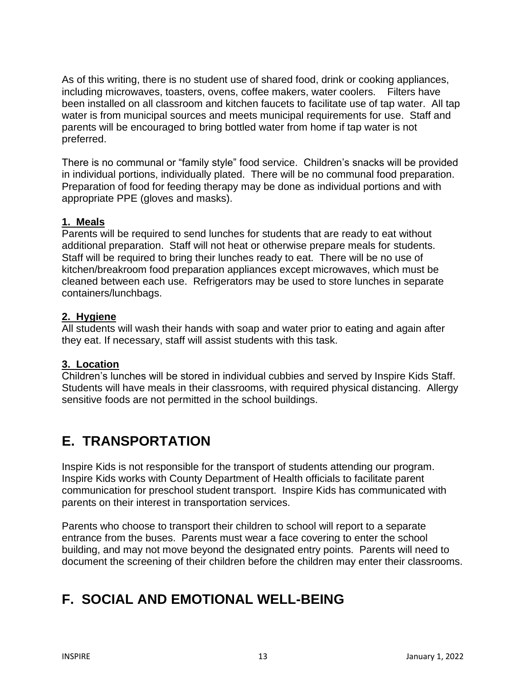As of this writing, there is no student use of shared food, drink or cooking appliances, including microwaves, toasters, ovens, coffee makers, water coolers. Filters have been installed on all classroom and kitchen faucets to facilitate use of tap water. All tap water is from municipal sources and meets municipal requirements for use. Staff and parents will be encouraged to bring bottled water from home if tap water is not preferred.

There is no communal or "family style" food service. Children's snacks will be provided in individual portions, individually plated. There will be no communal food preparation. Preparation of food for feeding therapy may be done as individual portions and with appropriate PPE (gloves and masks).

#### **1. Meals**

Parents will be required to send lunches for students that are ready to eat without additional preparation. Staff will not heat or otherwise prepare meals for students. Staff will be required to bring their lunches ready to eat. There will be no use of kitchen/breakroom food preparation appliances except microwaves, which must be cleaned between each use. Refrigerators may be used to store lunches in separate containers/lunchbags.

#### **2. Hygiene**

All students will wash their hands with soap and water prior to eating and again after they eat. If necessary, staff will assist students with this task.

### **3. Location**

Children's lunches will be stored in individual cubbies and served by Inspire Kids Staff. Students will have meals in their classrooms, with required physical distancing. Allergy sensitive foods are not permitted in the school buildings.

## **E. TRANSPORTATION**

Inspire Kids is not responsible for the transport of students attending our program. Inspire Kids works with County Department of Health officials to facilitate parent communication for preschool student transport. Inspire Kids has communicated with parents on their interest in transportation services.

Parents who choose to transport their children to school will report to a separate entrance from the buses. Parents must wear a face covering to enter the school building, and may not move beyond the designated entry points. Parents will need to document the screening of their children before the children may enter their classrooms.

## **F. SOCIAL AND EMOTIONAL WELL-BEING**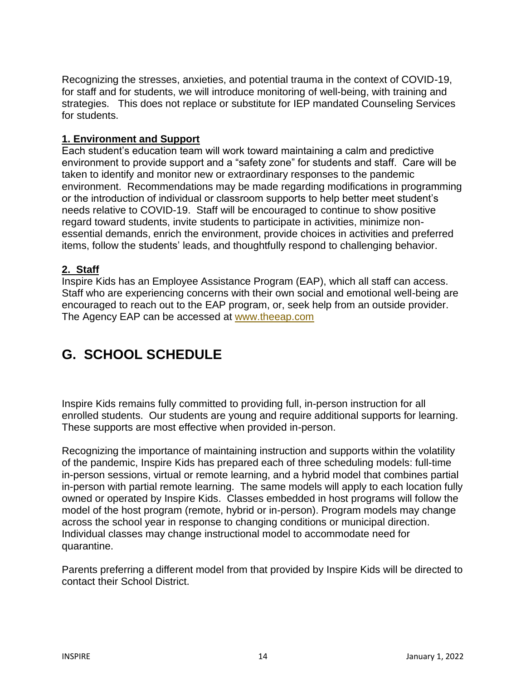Recognizing the stresses, anxieties, and potential trauma in the context of COVID-19, for staff and for students, we will introduce monitoring of well-being, with training and strategies. This does not replace or substitute for IEP mandated Counseling Services for students.

#### **1. Environment and Support**

Each student's education team will work toward maintaining a calm and predictive environment to provide support and a "safety zone" for students and staff. Care will be taken to identify and monitor new or extraordinary responses to the pandemic environment. Recommendations may be made regarding modifications in programming or the introduction of individual or classroom supports to help better meet student's needs relative to COVID-19. Staff will be encouraged to continue to show positive regard toward students, invite students to participate in activities, minimize nonessential demands, enrich the environment, provide choices in activities and preferred items, follow the students' leads, and thoughtfully respond to challenging behavior.

### **2. Staff**

Inspire Kids has an Employee Assistance Program (EAP), which all staff can access. Staff who are experiencing concerns with their own social and emotional well-being are encouraged to reach out to the EAP program, or, seek help from an outside provider. The Agency EAP can be accessed at [www.theeap.com](http://www.theeap.com/)

## **G. SCHOOL SCHEDULE**

Inspire Kids remains fully committed to providing full, in-person instruction for all enrolled students. Our students are young and require additional supports for learning. These supports are most effective when provided in-person.

Recognizing the importance of maintaining instruction and supports within the volatility of the pandemic, Inspire Kids has prepared each of three scheduling models: full-time in-person sessions, virtual or remote learning, and a hybrid model that combines partial in-person with partial remote learning. The same models will apply to each location fully owned or operated by Inspire Kids. Classes embedded in host programs will follow the model of the host program (remote, hybrid or in-person). Program models may change across the school year in response to changing conditions or municipal direction. Individual classes may change instructional model to accommodate need for quarantine.

Parents preferring a different model from that provided by Inspire Kids will be directed to contact their School District.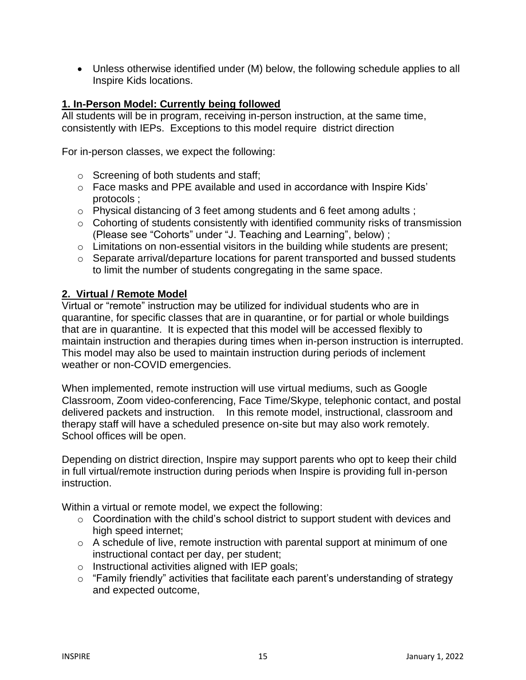• Unless otherwise identified under (M) below, the following schedule applies to all Inspire Kids locations.

#### **1. In-Person Model: Currently being followed**

All students will be in program, receiving in-person instruction, at the same time, consistently with IEPs. Exceptions to this model require district direction

For in-person classes, we expect the following:

- o Screening of both students and staff;
- o Face masks and PPE available and used in accordance with Inspire Kids' protocols ;
- o Physical distancing of 3 feet among students and 6 feet among adults ;
- o Cohorting of students consistently with identified community risks of transmission (Please see "Cohorts" under "J. Teaching and Learning", below) ;
- o Limitations on non-essential visitors in the building while students are present;
- o Separate arrival/departure locations for parent transported and bussed students to limit the number of students congregating in the same space.

#### **2. Virtual / Remote Model**

Virtual or "remote" instruction may be utilized for individual students who are in quarantine, for specific classes that are in quarantine, or for partial or whole buildings that are in quarantine. It is expected that this model will be accessed flexibly to maintain instruction and therapies during times when in-person instruction is interrupted. This model may also be used to maintain instruction during periods of inclement weather or non-COVID emergencies.

When implemented, remote instruction will use virtual mediums, such as Google Classroom, Zoom video-conferencing, Face Time/Skype, telephonic contact, and postal delivered packets and instruction. In this remote model, instructional, classroom and therapy staff will have a scheduled presence on-site but may also work remotely. School offices will be open.

Depending on district direction, Inspire may support parents who opt to keep their child in full virtual/remote instruction during periods when Inspire is providing full in-person instruction.

Within a virtual or remote model, we expect the following:

- o Coordination with the child's school district to support student with devices and high speed internet;
- $\circ$  A schedule of live, remote instruction with parental support at minimum of one instructional contact per day, per student;
- $\circ$  Instructional activities aligned with IEP goals;
- o "Family friendly" activities that facilitate each parent's understanding of strategy and expected outcome,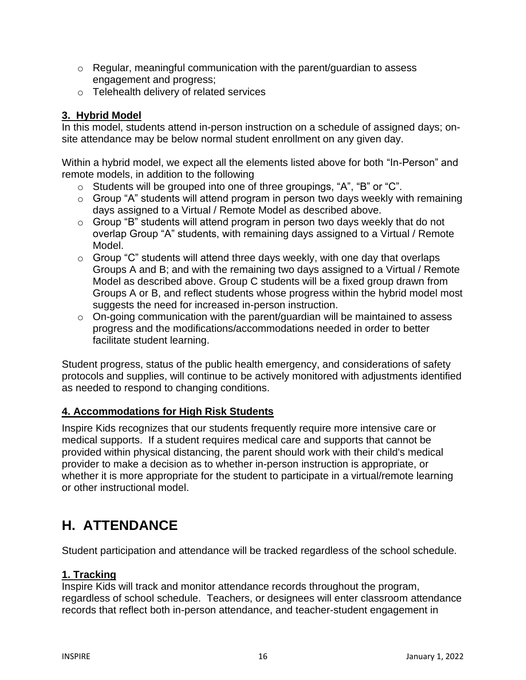- $\circ$  Regular, meaningful communication with the parent/guardian to assess engagement and progress;
- o Telehealth delivery of related services

### **3. Hybrid Model**

In this model, students attend in-person instruction on a schedule of assigned days; onsite attendance may be below normal student enrollment on any given day.

Within a hybrid model, we expect all the elements listed above for both "In-Person" and remote models, in addition to the following

- o Students will be grouped into one of three groupings, "A", "B" or "C".
- $\circ$  Group "A" students will attend program in person two days weekly with remaining days assigned to a Virtual / Remote Model as described above.
- o Group "B" students will attend program in person two days weekly that do not overlap Group "A" students, with remaining days assigned to a Virtual / Remote Model.
- $\circ$  Group "C" students will attend three days weekly, with one day that overlaps Groups A and B; and with the remaining two days assigned to a Virtual / Remote Model as described above. Group C students will be a fixed group drawn from Groups A or B, and reflect students whose progress within the hybrid model most suggests the need for increased in-person instruction.
- o On-going communication with the parent/guardian will be maintained to assess progress and the modifications/accommodations needed in order to better facilitate student learning.

Student progress, status of the public health emergency, and considerations of safety protocols and supplies, will continue to be actively monitored with adjustments identified as needed to respond to changing conditions.

### **4. Accommodations for High Risk Students**

Inspire Kids recognizes that our students frequently require more intensive care or medical supports. If a student requires medical care and supports that cannot be provided within physical distancing, the parent should work with their child's medical provider to make a decision as to whether in-person instruction is appropriate, or whether it is more appropriate for the student to participate in a virtual/remote learning or other instructional model.

## **H. ATTENDANCE**

Student participation and attendance will be tracked regardless of the school schedule.

## **1. Tracking**

Inspire Kids will track and monitor attendance records throughout the program, regardless of school schedule. Teachers, or designees will enter classroom attendance records that reflect both in-person attendance, and teacher-student engagement in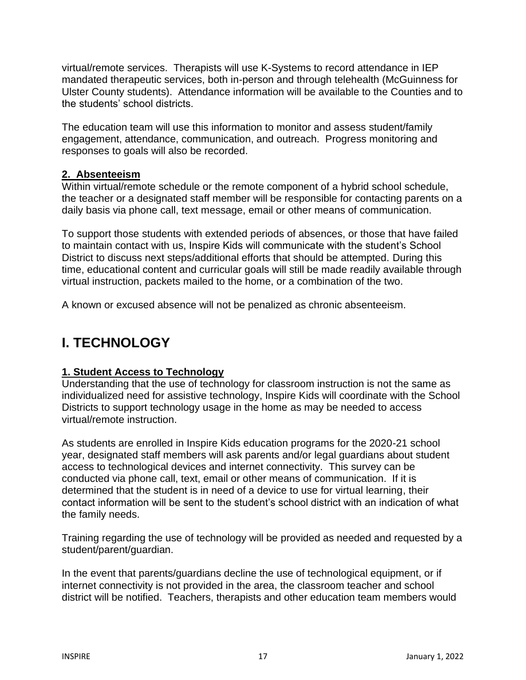virtual/remote services. Therapists will use K-Systems to record attendance in IEP mandated therapeutic services, both in-person and through telehealth (McGuinness for Ulster County students). Attendance information will be available to the Counties and to the students' school districts.

The education team will use this information to monitor and assess student/family engagement, attendance, communication, and outreach. Progress monitoring and responses to goals will also be recorded.

#### **2. Absenteeism**

Within virtual/remote schedule or the remote component of a hybrid school schedule, the teacher or a designated staff member will be responsible for contacting parents on a daily basis via phone call, text message, email or other means of communication.

To support those students with extended periods of absences, or those that have failed to maintain contact with us, Inspire Kids will communicate with the student's School District to discuss next steps/additional efforts that should be attempted. During this time, educational content and curricular goals will still be made readily available through virtual instruction, packets mailed to the home, or a combination of the two.

A known or excused absence will not be penalized as chronic absenteeism.

## **I. TECHNOLOGY**

### **1. Student Access to Technology**

Understanding that the use of technology for classroom instruction is not the same as individualized need for assistive technology, Inspire Kids will coordinate with the School Districts to support technology usage in the home as may be needed to access virtual/remote instruction.

As students are enrolled in Inspire Kids education programs for the 2020-21 school year, designated staff members will ask parents and/or legal guardians about student access to technological devices and internet connectivity. This survey can be conducted via phone call, text, email or other means of communication. If it is determined that the student is in need of a device to use for virtual learning, their contact information will be sent to the student's school district with an indication of what the family needs.

Training regarding the use of technology will be provided as needed and requested by a student/parent/guardian.

In the event that parents/guardians decline the use of technological equipment, or if internet connectivity is not provided in the area, the classroom teacher and school district will be notified. Teachers, therapists and other education team members would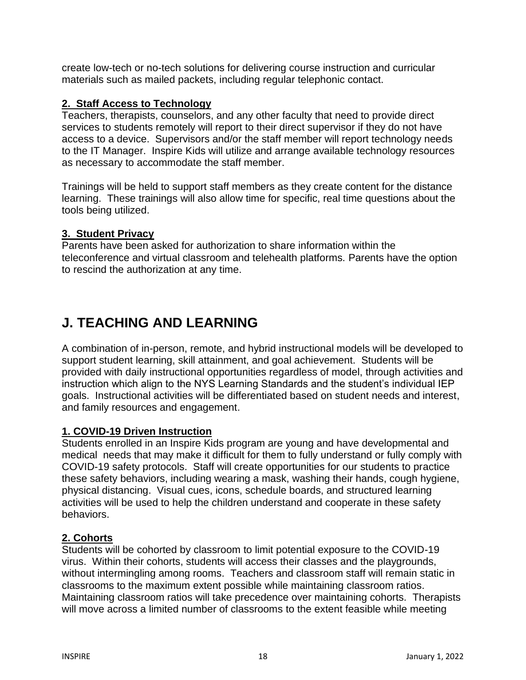create low-tech or no-tech solutions for delivering course instruction and curricular materials such as mailed packets, including regular telephonic contact.

### **2. Staff Access to Technology**

Teachers, therapists, counselors, and any other faculty that need to provide direct services to students remotely will report to their direct supervisor if they do not have access to a device. Supervisors and/or the staff member will report technology needs to the IT Manager. Inspire Kids will utilize and arrange available technology resources as necessary to accommodate the staff member.

Trainings will be held to support staff members as they create content for the distance learning. These trainings will also allow time for specific, real time questions about the tools being utilized.

### **3. Student Privacy**

Parents have been asked for authorization to share information within the teleconference and virtual classroom and telehealth platforms. Parents have the option to rescind the authorization at any time.

## **J. TEACHING AND LEARNING**

A combination of in-person, remote, and hybrid instructional models will be developed to support student learning, skill attainment, and goal achievement. Students will be provided with daily instructional opportunities regardless of model, through activities and instruction which align to the NYS Learning Standards and the student's individual IEP goals. Instructional activities will be differentiated based on student needs and interest, and family resources and engagement.

## **1. COVID-19 Driven Instruction**

Students enrolled in an Inspire Kids program are young and have developmental and medical needs that may make it difficult for them to fully understand or fully comply with COVID-19 safety protocols. Staff will create opportunities for our students to practice these safety behaviors, including wearing a mask, washing their hands, cough hygiene, physical distancing. Visual cues, icons, schedule boards, and structured learning activities will be used to help the children understand and cooperate in these safety behaviors.

## **2. Cohorts**

Students will be cohorted by classroom to limit potential exposure to the COVID-19 virus. Within their cohorts, students will access their classes and the playgrounds, without intermingling among rooms. Teachers and classroom staff will remain static in classrooms to the maximum extent possible while maintaining classroom ratios. Maintaining classroom ratios will take precedence over maintaining cohorts. Therapists will move across a limited number of classrooms to the extent feasible while meeting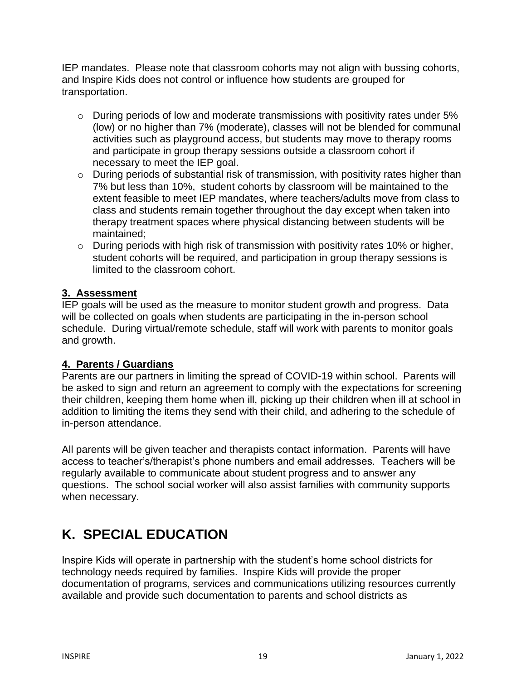IEP mandates. Please note that classroom cohorts may not align with bussing cohorts, and Inspire Kids does not control or influence how students are grouped for transportation.

- o During periods of low and moderate transmissions with positivity rates under 5% (low) or no higher than 7% (moderate), classes will not be blended for communal activities such as playground access, but students may move to therapy rooms and participate in group therapy sessions outside a classroom cohort if necessary to meet the IEP goal.
- o During periods of substantial risk of transmission, with positivity rates higher than 7% but less than 10%, student cohorts by classroom will be maintained to the extent feasible to meet IEP mandates, where teachers/adults move from class to class and students remain together throughout the day except when taken into therapy treatment spaces where physical distancing between students will be maintained;
- o During periods with high risk of transmission with positivity rates 10% or higher, student cohorts will be required, and participation in group therapy sessions is limited to the classroom cohort.

### **3. Assessment**

IEP goals will be used as the measure to monitor student growth and progress. Data will be collected on goals when students are participating in the in-person school schedule. During virtual/remote schedule, staff will work with parents to monitor goals and growth.

## **4. Parents / Guardians**

Parents are our partners in limiting the spread of COVID-19 within school. Parents will be asked to sign and return an agreement to comply with the expectations for screening their children, keeping them home when ill, picking up their children when ill at school in addition to limiting the items they send with their child, and adhering to the schedule of in-person attendance.

All parents will be given teacher and therapists contact information. Parents will have access to teacher's/therapist's phone numbers and email addresses. Teachers will be regularly available to communicate about student progress and to answer any questions. The school social worker will also assist families with community supports when necessary.

## **K. SPECIAL EDUCATION**

Inspire Kids will operate in partnership with the student's home school districts for technology needs required by families. Inspire Kids will provide the proper documentation of programs, services and communications utilizing resources currently available and provide such documentation to parents and school districts as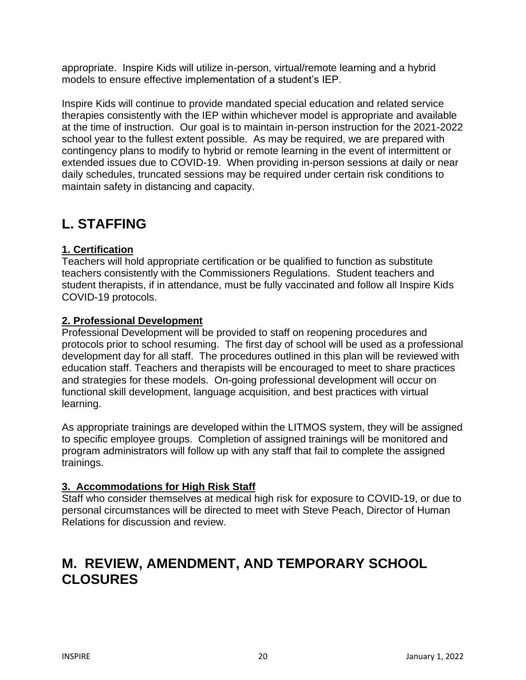appropriate. Inspire Kids will utilize in-person, virtual/remote learning and a hybrid models to ensure effective implementation of a student's IEP.

Inspire Kids will continue to provide mandated special education and related service therapies consistently with the IEP within whichever model is appropriate and available at the time of instruction. Our goal is to maintain in-person instruction for the 2021-2022 school year to the fullest extent possible. As may be required, we are prepared with contingency plans to modify to hybrid or remote learning in the event of intermittent or extended issues due to COVID-19. When providing in-person sessions at daily or near daily schedules, truncated sessions may be required under certain risk conditions to maintain safety in distancing and capacity.

## **L. STAFFING**

### **1. Certification**

Teachers will hold appropriate certification or be qualified to function as substitute teachers consistently with the Commissioners Regulations. Student teachers and student therapists, if in attendance, must be fully vaccinated and follow all Inspire Kids COVID-19 protocols.

#### **2. Professional Development**

Professional Development will be provided to staff on reopening procedures and protocols prior to school resuming. The first day of school will be used as a professional development day for all staff. The procedures outlined in this plan will be reviewed with education staff. Teachers and therapists will be encouraged to meet to share practices and strategies for these models. On-going professional development will occur on functional skill development, language acquisition, and best practices with virtual learning.

As appropriate trainings are developed within the LITMOS system, they will be assigned to specific employee groups. Completion of assigned trainings will be monitored and program administrators will follow up with any staff that fail to complete the assigned trainings.

### **3. Accommodations for High Risk Staff**

Staff who consider themselves at medical high risk for exposure to COVID-19, or due to personal circumstances will be directed to meet with Steve Peach, Director of Human Relations for discussion and review.

## **M. REVIEW, AMENDMENT, AND TEMPORARY SCHOOL CLOSURES**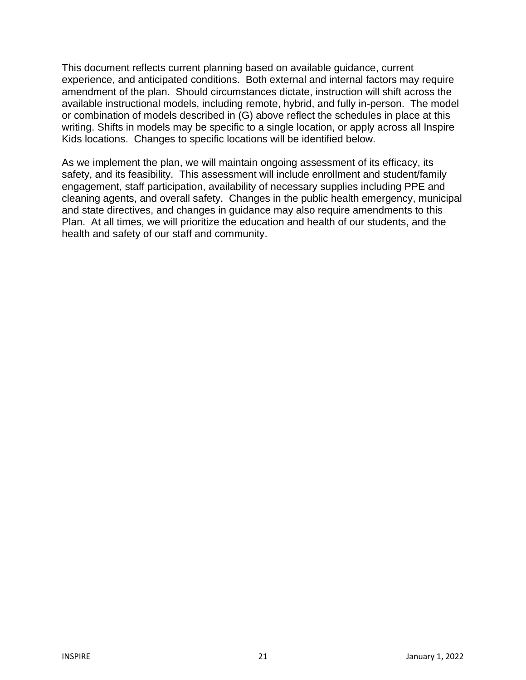This document reflects current planning based on available guidance, current experience, and anticipated conditions. Both external and internal factors may require amendment of the plan. Should circumstances dictate, instruction will shift across the available instructional models, including remote, hybrid, and fully in-person. The model or combination of models described in (G) above reflect the schedules in place at this writing. Shifts in models may be specific to a single location, or apply across all Inspire Kids locations. Changes to specific locations will be identified below.

As we implement the plan, we will maintain ongoing assessment of its efficacy, its safety, and its feasibility. This assessment will include enrollment and student/family engagement, staff participation, availability of necessary supplies including PPE and cleaning agents, and overall safety. Changes in the public health emergency, municipal and state directives, and changes in guidance may also require amendments to this Plan. At all times, we will prioritize the education and health of our students, and the health and safety of our staff and community.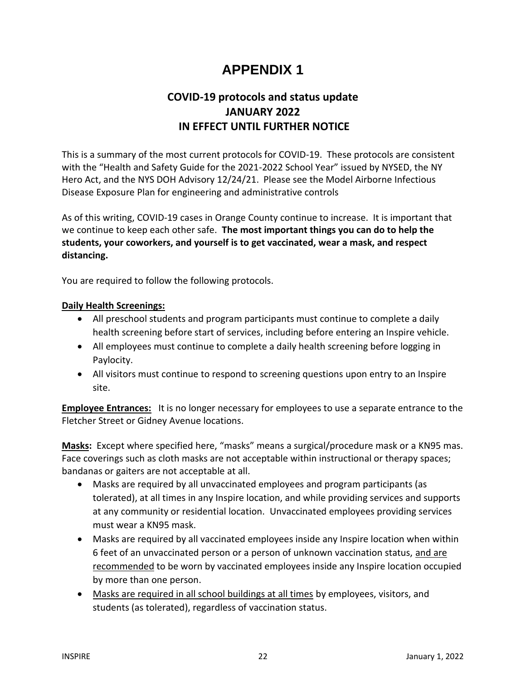## **APPENDIX 1**

## **COVID-19 protocols and status update JANUARY 2022 IN EFFECT UNTIL FURTHER NOTICE**

This is a summary of the most current protocols for COVID-19. These protocols are consistent with the "Health and Safety Guide for the 2021-2022 School Year" issued by NYSED, the NY Hero Act, and the NYS DOH Advisory 12/24/21. Please see the Model Airborne Infectious Disease Exposure Plan for engineering and administrative controls

As of this writing, COVID-19 cases in Orange County continue to increase. It is important that we continue to keep each other safe. **The most important things you can do to help the students, your coworkers, and yourself is to get vaccinated, wear a mask, and respect distancing.**

You are required to follow the following protocols.

#### **Daily Health Screenings:**

- All preschool students and program participants must continue to complete a daily health screening before start of services, including before entering an Inspire vehicle.
- All employees must continue to complete a daily health screening before logging in Paylocity.
- All visitors must continue to respond to screening questions upon entry to an Inspire site.

**Employee Entrances:** It is no longer necessary for employees to use a separate entrance to the Fletcher Street or Gidney Avenue locations.

**Masks:** Except where specified here, "masks" means a surgical/procedure mask or a KN95 mas. Face coverings such as cloth masks are not acceptable within instructional or therapy spaces; bandanas or gaiters are not acceptable at all.

- Masks are required by all unvaccinated employees and program participants (as tolerated), at all times in any Inspire location, and while providing services and supports at any community or residential location. Unvaccinated employees providing services must wear a KN95 mask.
- Masks are required by all vaccinated employees inside any Inspire location when within 6 feet of an unvaccinated person or a person of unknown vaccination status, and are recommended to be worn by vaccinated employees inside any Inspire location occupied by more than one person.
- Masks are required in all school buildings at all times by employees, visitors, and students (as tolerated), regardless of vaccination status.